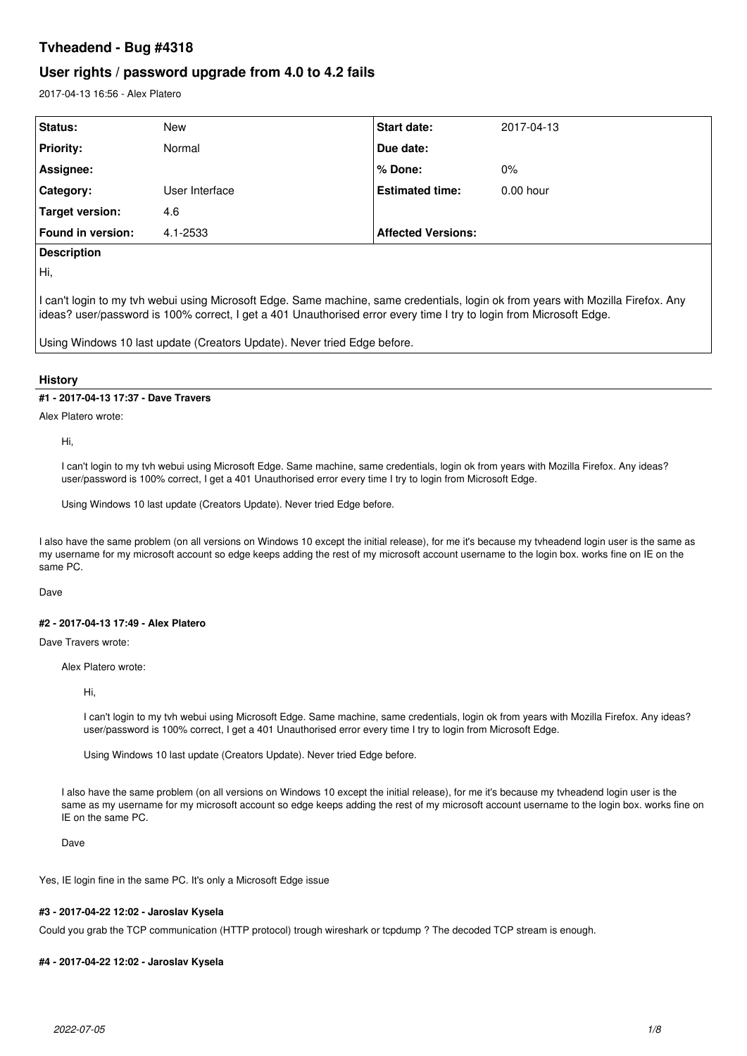# **Tvheadend - Bug #4318**

# **User rights / password upgrade from 4.0 to 4.2 fails**

2017-04-13 16:56 - Alex Platero

| Status:                  | <b>New</b>     | <b>Start date:</b>        | 2017-04-13  |  |
|--------------------------|----------------|---------------------------|-------------|--|
| <b>Priority:</b>         | Normal         | Due date:                 |             |  |
| Assignee:                |                | l % Done:                 | $0\%$       |  |
| Category:                | User Interface | <b>Estimated time:</b>    | $0.00$ hour |  |
| Target version:          | 4.6            |                           |             |  |
| <b>Found in version:</b> | 4.1-2533       | <b>Affected Versions:</b> |             |  |
| <b>Docorintion</b>       |                |                           |             |  |

# **Description**

Hi,

I can't login to my tvh webui using Microsoft Edge. Same machine, same credentials, login ok from years with Mozilla Firefox. Any ideas? user/password is 100% correct, I get a 401 Unauthorised error every time I try to login from Microsoft Edge.

Using Windows 10 last update (Creators Update). Never tried Edge before.

# **History**

# **#1 - 2017-04-13 17:37 - Dave Travers**

Alex Platero wrote:

Hi,

I can't login to my tvh webui using Microsoft Edge. Same machine, same credentials, login ok from years with Mozilla Firefox. Any ideas? user/password is 100% correct, I get a 401 Unauthorised error every time I try to login from Microsoft Edge.

Using Windows 10 last update (Creators Update). Never tried Edge before.

I also have the same problem (on all versions on Windows 10 except the initial release), for me it's because my tvheadend login user is the same as my username for my microsoft account so edge keeps adding the rest of my microsoft account username to the login box. works fine on IE on the same PC.

Dave

# **#2 - 2017-04-13 17:49 - Alex Platero**

Dave Travers wrote:

Alex Platero wrote:

Hi,

I can't login to my tvh webui using Microsoft Edge. Same machine, same credentials, login ok from years with Mozilla Firefox. Any ideas? user/password is 100% correct, I get a 401 Unauthorised error every time I try to login from Microsoft Edge.

Using Windows 10 last update (Creators Update). Never tried Edge before.

I also have the same problem (on all versions on Windows 10 except the initial release), for me it's because my tvheadend login user is the same as my username for my microsoft account so edge keeps adding the rest of my microsoft account username to the login box. works fine on IE on the same PC.

Dave

Yes, IE login fine in the same PC. It's only a Microsoft Edge issue

### **#3 - 2017-04-22 12:02 - Jaroslav Kysela**

Could you grab the TCP communication (HTTP protocol) trough wireshark or tcpdump ? The decoded TCP stream is enough.

#### **#4 - 2017-04-22 12:02 - Jaroslav Kysela**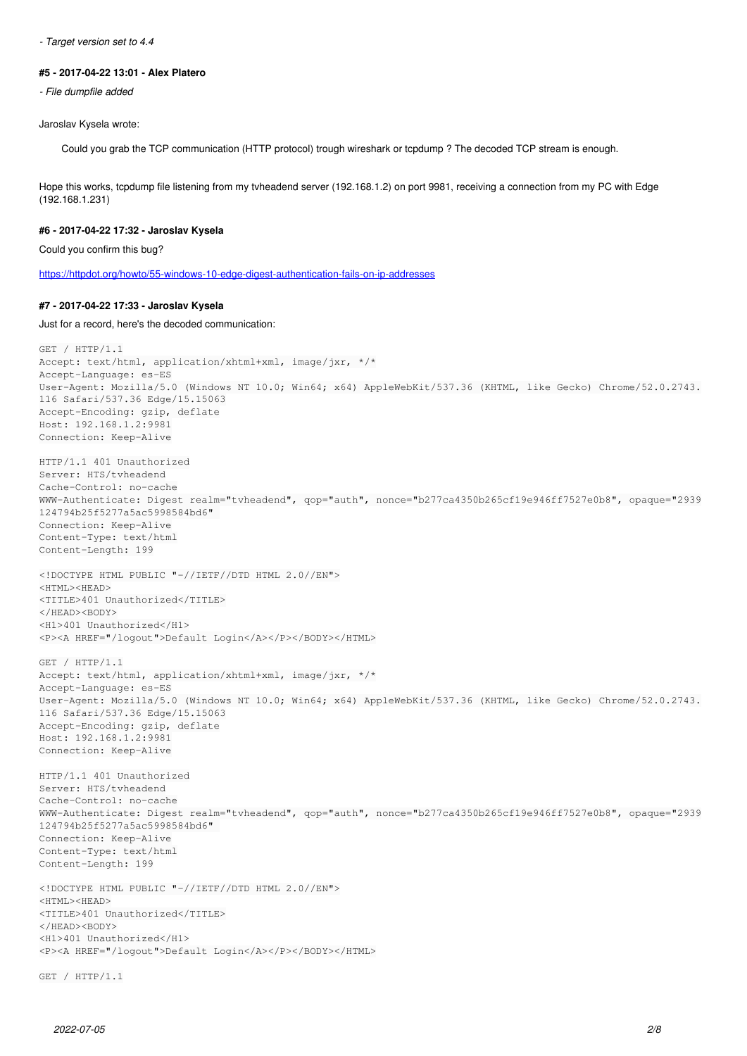*- Target version set to 4.4*

### **#5 - 2017-04-22 13:01 - Alex Platero**

*- File dumpfile added*

# Jaroslav Kysela wrote:

Could you grab the TCP communication (HTTP protocol) trough wireshark or tcpdump ? The decoded TCP stream is enough.

Hope this works, tcpdump file listening from my tvheadend server (192.168.1.2) on port 9981, receiving a connection from my PC with Edge (192.168.1.231)

# **#6 - 2017-04-22 17:32 - Jaroslav Kysela**

Could you confirm this bug?

<https://httpdot.org/howto/55-windows-10-edge-digest-authentication-fails-on-ip-addresses>

#### **#7 - 2017-04-22 17:33 - Jaroslav Kysela**

Just for a record, here's the decoded communication:

```
GET / HTTP/1.1
Accept: text/html, application/xhtml+xml, image/jxr, */*
Accept-Language: es-ES
User-Agent: Mozilla/5.0 (Windows NT 10.0; Win64; x64) AppleWebKit/537.36 (KHTML, like Gecko) Chrome/52.0.2743.
116 Safari/537.36 Edge/15.15063
Accept-Encoding: gzip, deflate
Host: 192.168.1.2:9981
Connection: Keep-Alive
HTTP/1.1 401 Unauthorized
Server: HTS/tvheadend
Cache-Control: no-cache
WWW-Authenticate: Digest realm="tvheadend", qop="auth", nonce="b277ca4350b265cf19e946ff7527e0b8", opaque="2939
124794b25f5277a5ac5998584bd6" 
Connection: Keep-Alive
Content-Type: text/html
Content-Length: 199
<!DOCTYPE HTML PUBLIC "-//IETF//DTD HTML 2.0//EN">
<HTML><HEAD>
<TITLE>401 Unauthorized</TITLE>
</HEAD><BODY>
<H1>401 Unauthorized</H1>
<P><A HREF="/logout">Default Login</A></P></BODY></HTML>
GET / HTTP/1.1
Accept: text/html, application/xhtml+xml, image/jxr, */*
Accept-Language: es-ES
User-Agent: Mozilla/5.0 (Windows NT 10.0; Win64; x64) AppleWebKit/537.36 (KHTML, like Gecko) Chrome/52.0.2743.
116 Safari/537.36 Edge/15.15063
Accept-Encoding: gzip, deflate
Host: 192.168.1.2:9981
Connection: Keep-Alive
HTTP/1.1 401 Unauthorized
Server: HTS/tvheadend
Cache-Control: no-cache
WWW-Authenticate: Digest realm="tvheadend", qop="auth", nonce="b277ca4350b265cf19e946ff7527e0b8", opaque="2939
124794b25f5277a5ac5998584bd6" 
Connection: Keep-Alive
Content-Type: text/html
Content-Length: 199
<!DOCTYPE HTML PUBLIC "-//IETF//DTD HTML 2.0//EN">
<HTML><HEAD>
<TITLE>401 Unauthorized</TITLE>
</HEAD><BODY>
<H1>401 Unauthorized</H1>
<P><A HREF="/logout">Default Login</A></P></BODY></HTML>
GET / HTTP/1.1
```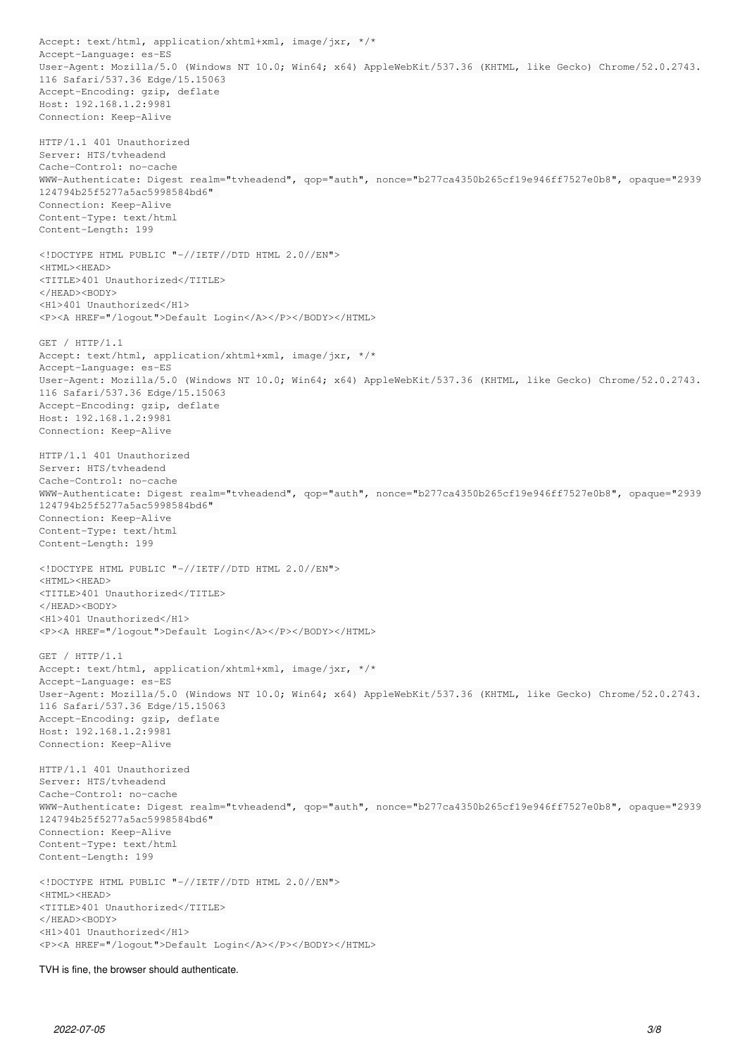Accept: text/html, application/xhtml+xml, image/jxr, \*/\* Accept-Language: es-ES User-Agent: Mozilla/5.0 (Windows NT 10.0; Win64; x64) AppleWebKit/537.36 (KHTML, like Gecko) Chrome/52.0.2743. 116 Safari/537.36 Edge/15.15063 Accept-Encoding: gzip, deflate Host: 192.168.1.2:9981 Connection: Keep-Alive HTTP/1.1 401 Unauthorized Server: HTS/tvheadend Cache-Control: no-cache WWW-Authenticate: Digest realm="tvheadend", qop="auth", nonce="b277ca4350b265cf19e946ff7527e0b8", opaque="2939 124794b25f5277a5ac5998584bd6" Connection: Keep-Alive Content-Type: text/html Content-Length: 199 <!DOCTYPE HTML PUBLIC "-//IETF//DTD HTML 2.0//EN"> <HTML><HEAD> <TITLE>401 Unauthorized</TITLE> </HEAD><BODY> <H1>401 Unauthorized</H1> <P><A HREF="/logout">Default Login</A></P></BODY></HTML> GET / HTTP/1.1 Accept: text/html, application/xhtml+xml, image/jxr, \*/\* Accept-Language: es-ES User-Agent: Mozilla/5.0 (Windows NT 10.0; Win64; x64) AppleWebKit/537.36 (KHTML, like Gecko) Chrome/52.0.2743. 116 Safari/537.36 Edge/15.15063 Accept-Encoding: gzip, deflate Host: 192.168.1.2:9981 Connection: Keep-Alive HTTP/1.1 401 Unauthorized Server: HTS/tvheadend Cache-Control: no-cache WWW-Authenticate: Digest realm="tvheadend", qop="auth", nonce="b277ca4350b265cf19e946ff7527e0b8", opaque="2939 124794b25f5277a5ac5998584bd6" Connection: Keep-Alive Content-Type: text/html Content-Length: 199 <!DOCTYPE HTML PUBLIC "-//IETF//DTD HTML 2.0//EN"> <HTML><HEAD> <TITLE>401 Unauthorized</TITLE> </HEAD><BODY> <H1>401 Unauthorized</H1> <P><A HREF="/logout">Default Login</A></P></BODY></HTML> GET / HTTP/1.1 Accept: text/html, application/xhtml+xml, image/jxr, \*/\* Accept-Language: es-ES User-Agent: Mozilla/5.0 (Windows NT 10.0; Win64; x64) AppleWebKit/537.36 (KHTML, like Gecko) Chrome/52.0.2743. 116 Safari/537.36 Edge/15.15063 Accept-Encoding: gzip, deflate Host: 192.168.1.2:9981 Connection: Keep-Alive HTTP/1.1 401 Unauthorized Server: HTS/tvheadend Cache-Control: no-cache WWW-Authenticate: Digest realm="tvheadend", qop="auth", nonce="b277ca4350b265cf19e946ff7527e0b8", opaque="2939 124794b25f5277a5ac5998584bd6" Connection: Keep-Alive Content-Type: text/html Content-Length: 199 <!DOCTYPE HTML PUBLIC "-//IETF//DTD HTML 2.0//EN"> <HTML><HEAD> <TITLE>401 Unauthorized</TITLE> </HEAD><BODY> <H1>401 Unauthorized</H1> <P><A HREF="/logout">Default Login</A></P></BODY></HTML>

#### TVH is fine, the browser should authenticate.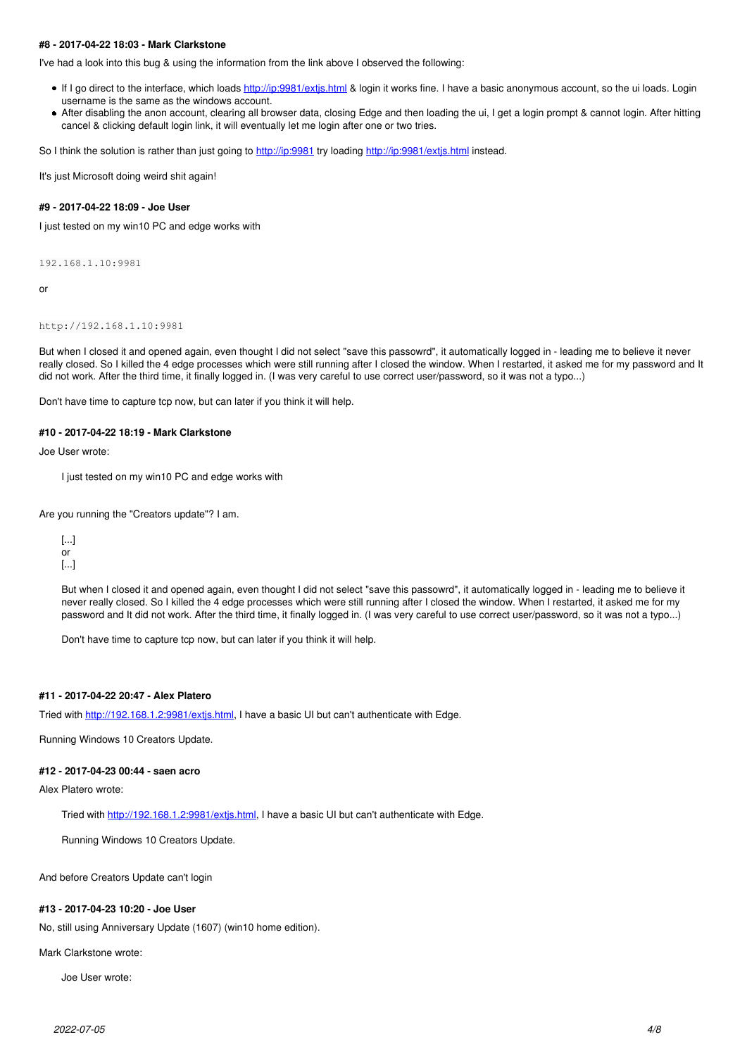### **#8 - 2017-04-22 18:03 - Mark Clarkstone**

I've had a look into this bug & using the information from the link above I observed the following:

- If I go direct to the interface, which loads<http://ip:9981/extjs.html>& login it works fine. I have a basic anonymous account, so the ui loads. Login username is the same as the windows account.
- After disabling the anon account, clearing all browser data, closing Edge and then loading the ui, I get a login prompt & cannot login. After hitting cancel & clicking default login link, it will eventually let me login after one or two tries.

So I think the solution is rather than just going to<http://ip:9981> try loading http://ip:9981/extis.html instead.

It's just Microsoft doing weird shit again!

#### **#9 - 2017-04-22 18:09 - Joe User**

I just tested on my win10 PC and edge works with

192.168.1.10:9981

or

#### http://192.168.1.10:9981

But when I closed it and opened again, even thought I did not select "save this passowrd", it automatically logged in - leading me to believe it never really closed. So I killed the 4 edge processes which were still running after I closed the window. When I restarted, it asked me for my password and It did not work. After the third time, it finally logged in. (I was very careful to use correct user/password, so it was not a typo...)

Don't have time to capture tcp now, but can later if you think it will help.

#### **#10 - 2017-04-22 18:19 - Mark Clarkstone**

Joe User wrote:

I just tested on my win10 PC and edge works with

Are you running the "Creators update"? I am.

[...] or [...]

But when I closed it and opened again, even thought I did not select "save this passowrd", it automatically logged in - leading me to believe it never really closed. So I killed the 4 edge processes which were still running after I closed the window. When I restarted, it asked me for my password and It did not work. After the third time, it finally logged in. (I was very careful to use correct user/password, so it was not a typo...)

Don't have time to capture tcp now, but can later if you think it will help.

# **#11 - 2017-04-22 20:47 - Alex Platero**

Tried with<http://192.168.1.2:9981/extjs.html>, I have a basic UI but can't authenticate with Edge.

Running Windows 10 Creators Update.

# **#12 - 2017-04-23 00:44 - saen acro**

Alex Platero wrote:

Tried with <http://192.168.1.2:9981/extjs.html>, I have a basic UI but can't authenticate with Edge.

Running Windows 10 Creators Update.

And before Creators Update can't login

### **#13 - 2017-04-23 10:20 - Joe User**

No, still using Anniversary Update (1607) (win10 home edition).

Mark Clarkstone wrote:

Joe User wrote: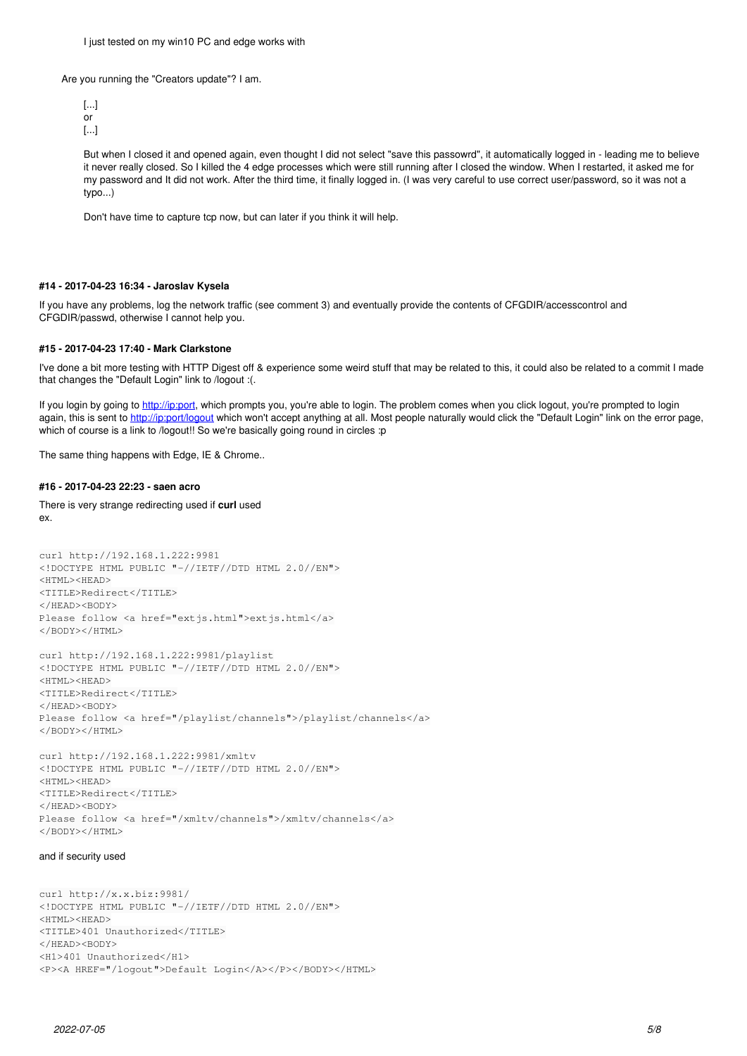I just tested on my win10 PC and edge works with

Are you running the "Creators update"? I am.

[...] or [...]

But when I closed it and opened again, even thought I did not select "save this passowrd", it automatically logged in - leading me to believe it never really closed. So I killed the 4 edge processes which were still running after I closed the window. When I restarted, it asked me for my password and It did not work. After the third time, it finally logged in. (I was very careful to use correct user/password, so it was not a typo...)

Don't have time to capture tcp now, but can later if you think it will help.

## **#14 - 2017-04-23 16:34 - Jaroslav Kysela**

If you have any problems, log the network traffic (see comment 3) and eventually provide the contents of CFGDIR/accesscontrol and CFGDIR/passwd, otherwise I cannot help you.

# **#15 - 2017-04-23 17:40 - Mark Clarkstone**

I've done a bit more testing with HTTP Digest off & experience some weird stuff that may be related to this, it could also be related to a commit I made that changes the "Default Login" link to /logout :(.

If you login by going to [http://ip:port,](http://ip:port) which prompts you, you're able to login. The problem comes when you click logout, you're prompted to login again, this is sent to<http://ip:port/logout> which won't accept anything at all. Most people naturally would click the "Default Login" link on the error page, which of course is a link to /logout!! So we're basically going round in circles :p

The same thing happens with Edge, IE & Chrome..

## **#16 - 2017-04-23 22:23 - saen acro**

There is very strange redirecting used if **curl** used ex.

```
curl http://192.168.1.222:9981
<!DOCTYPE HTML PUBLIC "-//IETF//DTD HTML 2.0//EN">
<HTML><HEAD>
<TITLE>Redirect</TITLE>
</HEAD><BODY>
Please follow <a href="extjs.html">extjs.html</a>
</BODY></HTML>
curl http://192.168.1.222:9981/playlist
<!DOCTYPE HTML PUBLIC "-//IETF//DTD HTML 2.0//EN">
<HTML><HEAD>
<TITLE>Redirect</TITLE>
</HEAD><BODY>
Please follow <a href="/playlist/channels">/playlist/channels</a>
```
</BODY></HTML>

```
curl http://192.168.1.222:9981/xmltv
<!DOCTYPE HTML PUBLIC "-//IETF//DTD HTML 2.0//EN">
<HTML><HEAD>
<TITLE>Redirect</TITLE>
</HEAD><BODY>
Please follow <a href="/xmltv/channels">/xmltv/channels</a>
</BODY></HTML>
```
#### and if security used

curl http://x.x.biz:9981/ <!DOCTYPE HTML PUBLIC "-//IETF//DTD HTML 2.0//EN"> <HTML><HEAD> <TITLE>401 Unauthorized</TITLE> </HEAD><BODY> <H1>401 Unauthorized</H1> <P><A HREF="/logout">Default Login</A></P></BODY></HTML>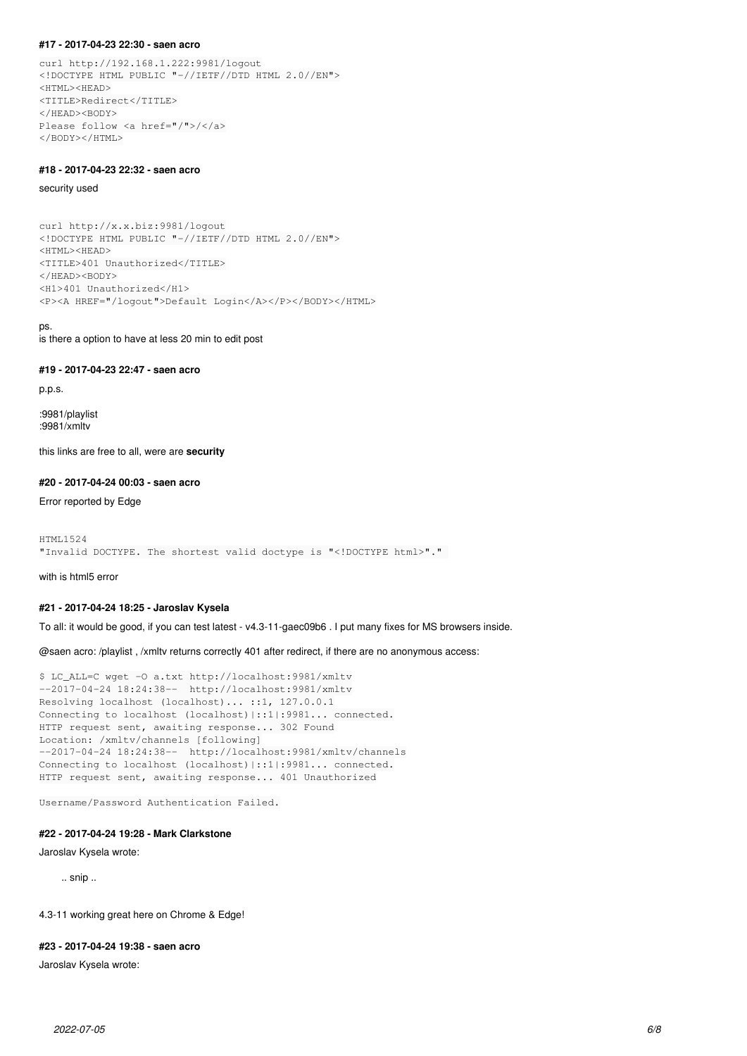#### **#17 - 2017-04-23 22:30 - saen acro**

curl http://192.168.1.222:9981/logout <!DOCTYPE HTML PUBLIC "-//IETF//DTD HTML 2.0//EN"> <HTML><HEAD> <TITLE>Redirect</TITLE> </HEAD><BODY> Please follow <a href="/">/</a> </BODY></HTML>

# **#18 - 2017-04-23 22:32 - saen acro**

security used

curl http://x.x.biz:9981/logout <!DOCTYPE HTML PUBLIC "-//IETF//DTD HTML 2.0//EN"> <HTML><HEAD> <TITLE>401 Unauthorized</TITLE> </HEAD><BODY> <H1>401 Unauthorized</H1> <P><A HREF="/logout">Default Login</A></P></BODY></HTML>

#### ps.

is there a option to have at less 20 min to edit post

# **#19 - 2017-04-23 22:47 - saen acro**

p.p.s.

:9981/playlist :9981/xmltv

this links are free to all, were are **security**

# **#20 - 2017-04-24 00:03 - saen acro**

Error reported by Edge

```
HTML1524
"Invalid DOCTYPE. The shortest valid doctype is "<!DOCTYPE html>"."
```
with is html5 error

#### **#21 - 2017-04-24 18:25 - Jaroslav Kysela**

To all: it would be good, if you can test latest - v4.3-11-gaec09b6 . I put many fixes for MS browsers inside.

@saen acro: /playlist , /xmltv returns correctly 401 after redirect, if there are no anonymous access:

```
$ LC_ALL=C wget -O a.txt http://localhost:9981/xmltv
--2017-04-24 18:24:38--  http://localhost:9981/xmltv
Resolving localhost (localhost)... ::1, 127.0.0.1
Connecting to localhost (localhost)|::1|:9981... connected.
HTTP request sent, awaiting response... 302 Found
Location: /xmltv/channels [following]
--2017-04-24 18:24:38--  http://localhost:9981/xmltv/channels
Connecting to localhost (localhost)|::1|:9981... connected.
HTTP request sent, awaiting response... 401 Unauthorized
```

```
Username/Password Authentication Failed.
```
## **#22 - 2017-04-24 19:28 - Mark Clarkstone**

Jaroslav Kysela wrote:

.. snip ..

4.3-11 working great here on Chrome & Edge!

# **#23 - 2017-04-24 19:38 - saen acro**

Jaroslav Kysela wrote: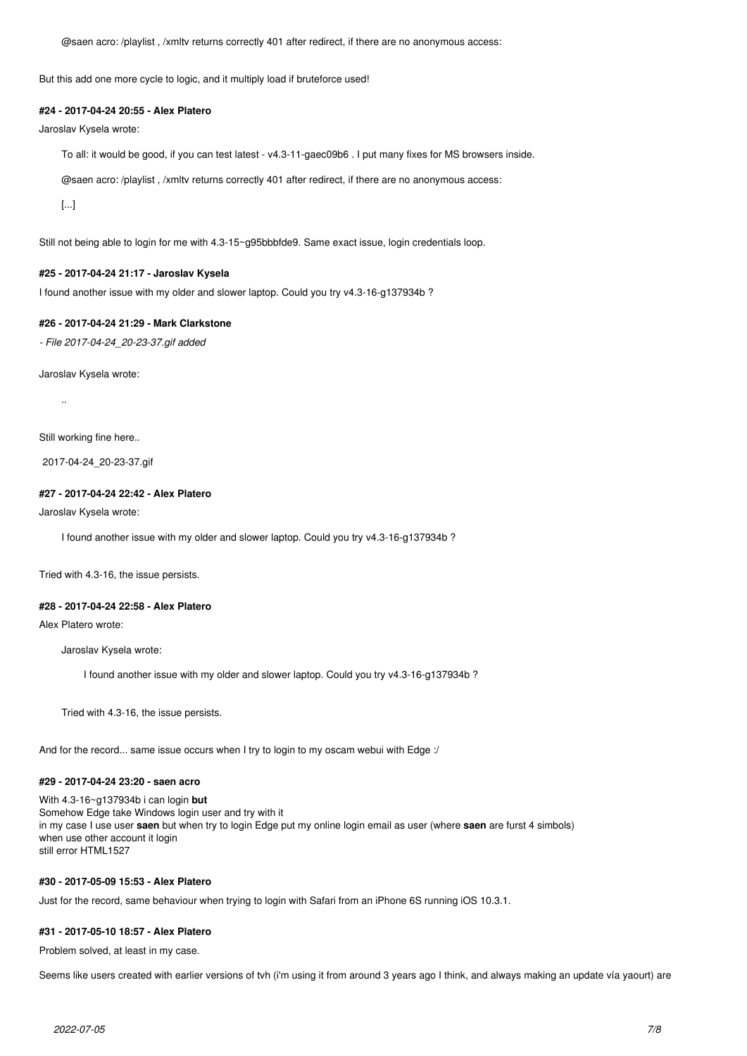@saen acro: /playlist , /xmltv returns correctly 401 after redirect, if there are no anonymous access:

But this add one more cycle to logic, and it multiply load if bruteforce used!

#### **#24 - 2017-04-24 20:55 - Alex Platero**

Jaroslav Kysela wrote:

To all: it would be good, if you can test latest - v4.3-11-gaec09b6 . I put many fixes for MS browsers inside.

@saen acro: /playlist , /xmltv returns correctly 401 after redirect, if there are no anonymous access:

[...]

Still not being able to login for me with 4.3-15~g95bbbfde9. Same exact issue, login credentials loop.

#### **#25 - 2017-04-24 21:17 - Jaroslav Kysela**

I found another issue with my older and slower laptop. Could you try v4.3-16-g137934b ?

### **#26 - 2017-04-24 21:29 - Mark Clarkstone**

*- File 2017-04-24\_20-23-37.gif added*

Jaroslav Kysela wrote:

..

Still working fine here..

2017-04-24\_20-23-37.gif

## **#27 - 2017-04-24 22:42 - Alex Platero**

Jaroslav Kysela wrote:

I found another issue with my older and slower laptop. Could you try v4.3-16-g137934b ?

Tried with 4.3-16, the issue persists.

### **#28 - 2017-04-24 22:58 - Alex Platero**

Alex Platero wrote:

Jaroslav Kysela wrote:

I found another issue with my older and slower laptop. Could you try v4.3-16-g137934b ?

Tried with 4.3-16, the issue persists.

And for the record... same issue occurs when I try to login to my oscam webui with Edge :/

# **#29 - 2017-04-24 23:20 - saen acro**

With 4.3-16~g137934b i can login **but** Somehow Edge take Windows login user and try with it in my case I use user **saen** but when try to login Edge put my online login email as user (where **saen** are furst 4 simbols) when use other account it login still error HTML1527

# **#30 - 2017-05-09 15:53 - Alex Platero**

Just for the record, same behaviour when trying to login with Safari from an iPhone 6S running iOS 10.3.1.

#### **#31 - 2017-05-10 18:57 - Alex Platero**

Problem solved, at least in my case.

Seems like users created with earlier versions of tvh (i'm using it from around 3 years ago I think, and always making an update vía yaourt) are